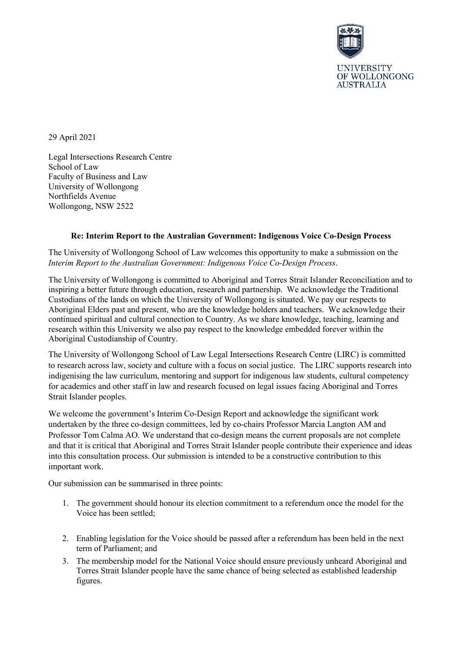

29 April 2021

Legal Intersections Research Centre School of Law Faculty of Business and Law University of Wollongong Northfields Avenue Wollongong, NSW 2522

## **Re: Interim Report to the Australian Government: Indigenous Voice Co-Design Process**

The University of Wollongong School of Law welcomes this opportunity to make a submission on the *Interim Report to the Australian Government: Indigenous Voice Co-Design Process*.

The University of Wollongong is committed to Aboriginal and Torres Strait Islander Reconciliation and to inspiring a better future through education, research and partnership. We acknowledge the Traditional Custodians of the lands on which the University of Wollongong is situated. We pay our respects to Aboriginal Elders past and present, who are the knowledge holders and teachers. We acknowledge their continued spiritual and cultural connection to Country. As we share knowledge, teaching, learning and research within this University we also pay respect to the knowledge embedded forever within the Aboriginal Custodianship of Country.

The University of Wollongong School of Law Legal Intersections Research Centre (LIRC) is committed to research across law, society and culture with a focus on social justice. The LIRC supports research into indigenising the law curriculum, mentoring and support for indigenous law students, cultural competency for academics and other staff in law and research focused on legal issues facing Aboriginal and Torres Strait Islander peoples.

We welcome the government's Interim Co-Design Report and acknowledge the significant work undertaken by the three co-design committees, led by co-chairs Professor Marcia Langton AM and Professor Tom Calma AO. We understand that co-design means the current proposals are not complete and that it is critical that Aboriginal and Torres Strait Islander people contribute their experience and ideas into this consultation process. Our submission is intended to be a constructive contribution to this important work.

Our submission can be summarised in three points:

- 1. The government should honour its election commitment to a referendum once the model for the Voice has been settled;
- 2. Enabling legislation for the Voice should be passed after a referendum has been held in the next term of Parliament; and
- 3. The membership model for the National Voice should ensure previously unheard Aboriginal and Torres Strait Islander people have the same chance of being selected as established leadership figures.